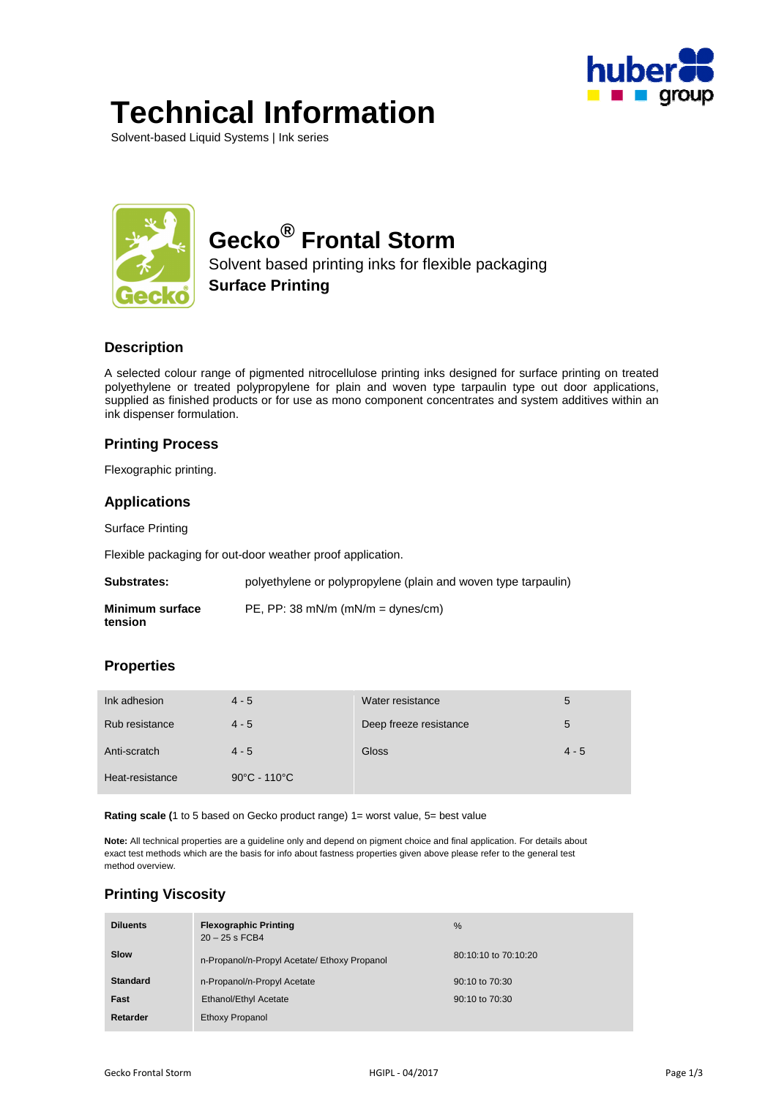

# **Technical Information**

Solvent-based Liquid Systems | Ink series



# **Gecko® Frontal Storm**

Solvent based printing inks for flexible packaging **Surface Printing** 

#### **Description**

A selected colour range of pigmented nitrocellulose printing inks designed for surface printing on treated polyethylene or treated polypropylene for plain and woven type tarpaulin type out door applications, supplied as finished products or for use as mono component concentrates and system additives within an ink dispenser formulation.

#### **Printing Process**

Flexographic printing.

#### **Applications**

Surface Printing

Flexible packaging for out-door weather proof application.

| <b>Substrates:</b>                | polyethylene or polypropylene (plain and woven type tarpaulin) |
|-----------------------------------|----------------------------------------------------------------|
| <b>Minimum surface</b><br>tension | $PE$ , PP: 38 mN/m (mN/m = dynes/cm)                           |

#### **Properties**

| Ink adhesion    | $4 - 5$                           | Water resistance       | 5       |
|-----------------|-----------------------------------|------------------------|---------|
| Rub resistance  | $4 - 5$                           | Deep freeze resistance | 5       |
| Anti-scratch    | $4 - 5$                           | Gloss                  | $4 - 5$ |
| Heat-resistance | $90^{\circ}$ C - 110 $^{\circ}$ C |                        |         |

**Rating scale (1 to 5 based on Gecko product range) 1= worst value, 5= best value** 

**Note:** All technical properties are a guideline only and depend on pigment choice and final application. For details about exact test methods which are the basis for info about fastness properties given above please refer to the general test method overview.

#### **Printing Viscosity**

| <b>Diluents</b> | <b>Flexographic Printing</b><br>$20 - 25$ s FCB4 | %                    |
|-----------------|--------------------------------------------------|----------------------|
| Slow            | n-Propanol/n-Propyl Acetate/ Ethoxy Propanol     | 80:10:10 to 70:10:20 |
| <b>Standard</b> | n-Propanol/n-Propyl Acetate                      | 90:10 to 70:30       |
| Fast            | Ethanol/Ethyl Acetate                            | 90:10 to 70:30       |
| Retarder        | <b>Ethoxy Propanol</b>                           |                      |